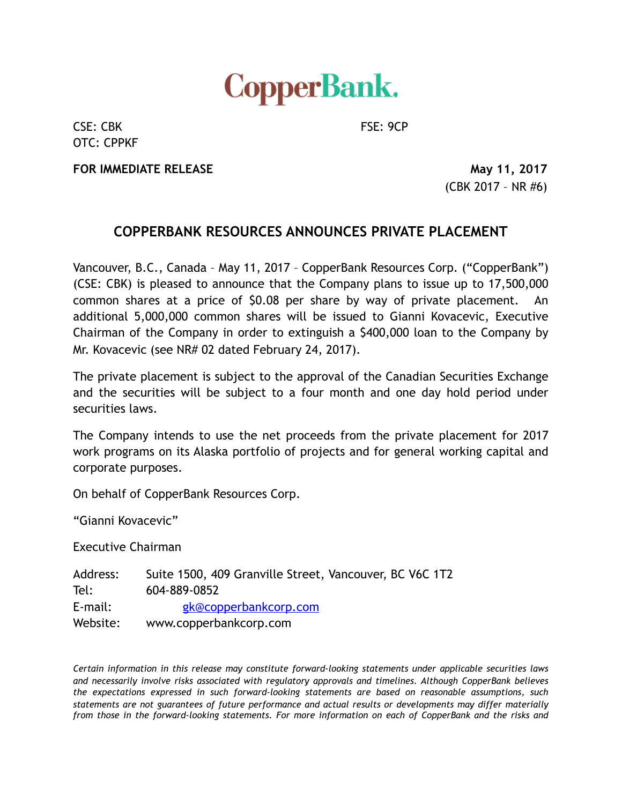

CSE: CBK FSE: 9CP OTC: CPPKF

**FOR IMMEDIATE RELEASE** May 11, 2017

(CBK 2017 – NR #6)

## **COPPERBANK RESOURCES ANNOUNCES PRIVATE PLACEMENT**

Vancouver, B.C., Canada – May 11, 2017 – CopperBank Resources Corp. ("CopperBank") (CSE: CBK) is pleased to announce that the Company plans to issue up to 17,500,000 common shares at a price of \$0.08 per share by way of private placement. An additional 5,000,000 common shares will be issued to Gianni Kovacevic, Executive Chairman of the Company in order to extinguish a \$400,000 loan to the Company by Mr. Kovacevic (see NR# 02 dated February 24, 2017).

The private placement is subject to the approval of the Canadian Securities Exchange and the securities will be subject to a four month and one day hold period under securities laws.

The Company intends to use the net proceeds from the private placement for 2017 work programs on its Alaska portfolio of projects and for general working capital and corporate purposes.

On behalf of CopperBank Resources Corp.

"Gianni Kovacevic"

Executive Chairman

Address: Suite 1500, 409 Granville Street, Vancouver, BC V6C 1T2 Tel: 604-889-0852 E-mail: [gk@copperbankcorp.com](mailto:gk@copperbankcorp.com) Website: www.copperbankcorp.com

*Certain information in this release may constitute forward-looking statements under applicable securities laws and necessarily involve risks associated with regulatory approvals and timelines. Although CopperBank believes the expectations expressed in such forward-looking statements are based on reasonable assumptions, such statements are not guarantees of future performance and actual results or developments may differ materially from those in the forward-looking statements. For more information on each of CopperBank and the risks and*